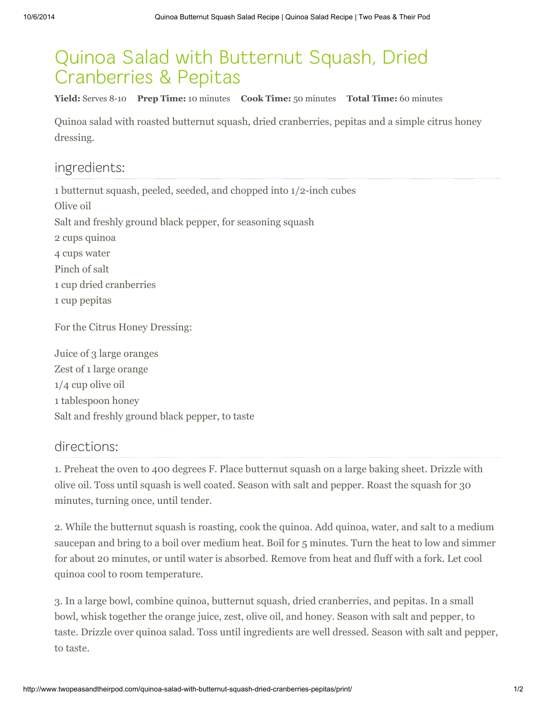## Quinoa Salad with Butternut Squash, Dried Cranberries & Pepitas

Yield: Serves 8-10 Prep Time: 10 minutes Cook Time: 50 minutes Total Time: 60 minutes

Quinoa salad with roasted butternut squash, dried cranberries, pepitas and a simple citrus honey dressing.

## ingredients:

 butternut squash, peeled, seeded, and chopped into 1/2-inch cubes Olive oil Salt and freshly ground black pepper, for seasoning squash cups quinoa cups water Pinch of salt cup dried cranberries cup pepitas

For the Citrus Honey Dressing:

Juice of 3 large oranges Zest of 1 large orange 1/4 cup olive oil 1 tablespoon honey Salt and freshly ground black pepper, to taste

## directions:

1. Preheat the oven to 400 degrees F. Place butternut squash on a large baking sheet. Drizzle with olive oil. Toss until squash is well coated. Season with salt and pepper. Roast the squash for 30 minutes, turning once, until tender.

2. While the butternut squash is roasting, cook the quinoa. Add quinoa, water, and salt to a medium saucepan and bring to a boil over medium heat. Boil for 5 minutes. Turn the heat to low and simmer for about 20 minutes, or until water is absorbed. Remove from heat and fluff with a fork. Let cool quinoa cool to room temperature.

3. In a large bowl, combine quinoa, butternut squash, dried cranberries, and pepitas. In a small bowl, whisk together the orange juice, zest, olive oil, and honey. Season with salt and pepper, to taste. Drizzle over quinoa salad. Toss until ingredients are well dressed. Season with salt and pepper, to taste.